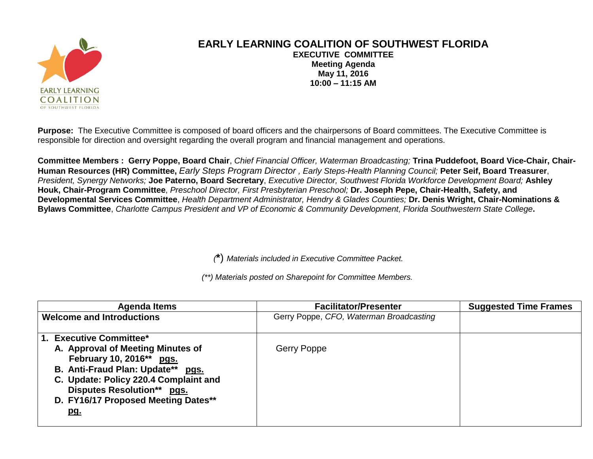

## **EARLY LEARNING COALITION OF SOUTHWEST FLORIDA EXECUTIVE COMMITTEE Meeting Agenda May 11, 2016 10:00 – 11:15 AM**

**Purpose:** The Executive Committee is composed of board officers and the chairpersons of Board committees. The Executive Committee is responsible for direction and oversight regarding the overall program and financial management and operations.

**Committee Members : Gerry Poppe, Board Chair**, *Chief Financial Officer, Waterman Broadcasting;* **Trina Puddefoot, Board Vice-Chair, Chair-Human Resources (HR) Committee,** *Early Steps Program Director , Early Steps-Health Planning Council;* **Peter Seif, Board Treasurer**, *President, Synergy Networks;* **Joe Paterno, Board Secretary**, *Executive Director, Southwest Florida Workforce Development Board;* **Ashley Houk, Chair-Program Committee**, *Preschool Director, First Presbyterian Preschool;* **Dr. Joseph Pepe, Chair-Health, Safety, and Developmental Services Committee**, *Health Department Administrator, Hendry & Glades Counties;* **Dr. Denis Wright, Chair-Nominations & Bylaws Committee**, *Charlotte Campus President and VP of Economic & Community Development, Florida Southwestern State College***.**

*(***\***) *Materials included in Executive Committee Packet.*

*(\*\*) Materials posted on Sharepoint for Committee Members.*

| Agenda Items                                                                                                                                                                                                                                                     | <b>Facilitator/Presenter</b>            | <b>Suggested Time Frames</b> |
|------------------------------------------------------------------------------------------------------------------------------------------------------------------------------------------------------------------------------------------------------------------|-----------------------------------------|------------------------------|
| <b>Welcome and Introductions</b>                                                                                                                                                                                                                                 | Gerry Poppe, CFO, Waterman Broadcasting |                              |
| 1. Executive Committee*<br>A. Approval of Meeting Minutes of<br>February 10, 2016** pgs.<br>B. Anti-Fraud Plan: Update** pgs.<br>C. Update: Policy 220.4 Complaint and<br><b>Disputes Resolution** pgs.</b><br>D. FY16/17 Proposed Meeting Dates**<br><u>pg.</u> | Gerry Poppe                             |                              |